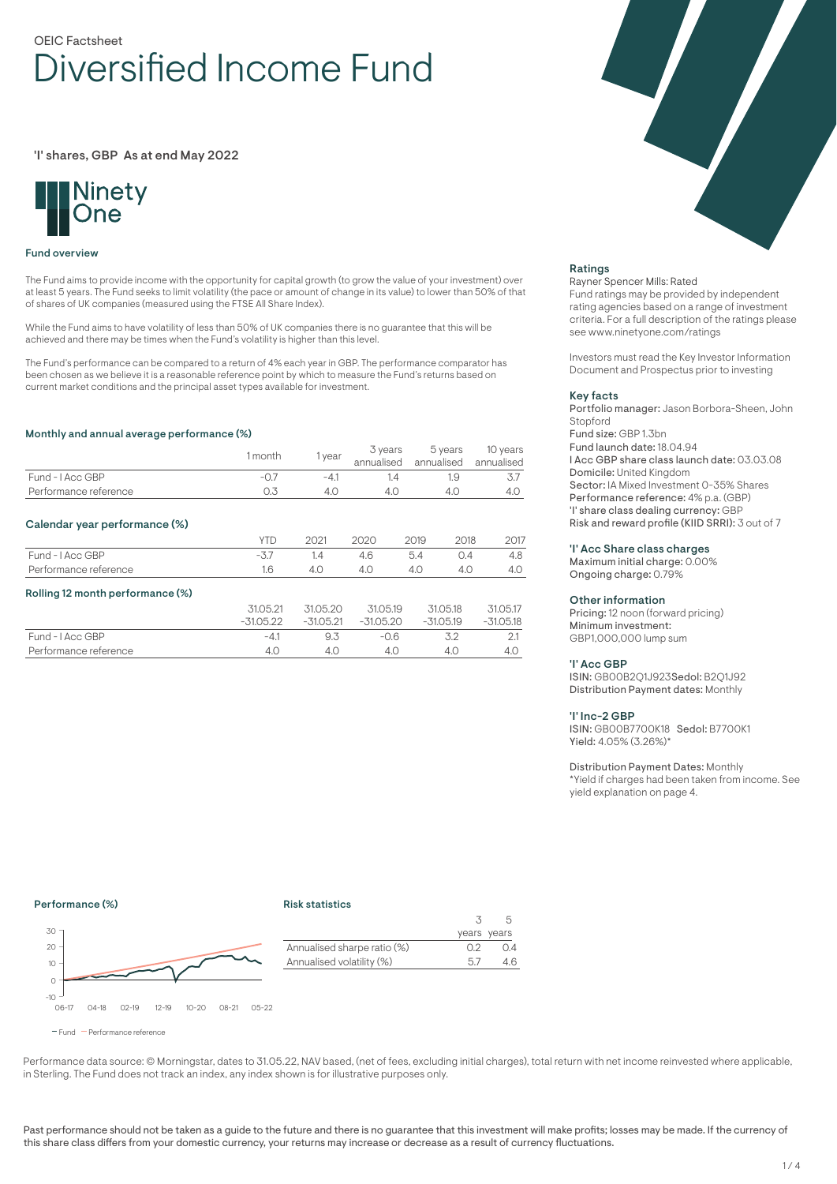# OEIC Factsheet Diversified Income Fund

'I' shares, GBP As at end May 2022



### Fund overview

The Fund aims to provide income with the opportunity for capital growth (to grow the value of your investment) over at least 5 years. The Fund seeks to limit volatility (the pace or amount of change in its value) to lower than 50% of that of shares of UK companies (measured using the FTSE All Share Index).

While the Fund aims to have volatility of less than 50% of UK companies there is no guarantee that this will be achieved and there may be times when the Fund's volatility is higher than this level.

The Fund's performance can be compared to a return of 4% each year in GBP. The performance comparator has been chosen as we believe it is a reasonable reference point by which to measure the Fund's returns based on current market conditions and the principal asset types available for investment.

### Monthly and annual average performance (%)

| <u><u>monthly and annual average performance</u> (70)</u> |             |             |                       |      |                       |                        |
|-----------------------------------------------------------|-------------|-------------|-----------------------|------|-----------------------|------------------------|
|                                                           | 1 month     | 1 year      | 3 years<br>annualised |      | 5 years<br>annualised | 10 years<br>annualised |
| Fund - I Acc GBP                                          | $-0.7$      | $-4.1$      | 1.4                   |      | 1.9                   | 3.7                    |
| Performance reference                                     | 0.3         | 4.0         | 4.0<br>4.0            |      |                       | 4.0                    |
| Calendar year performance (%)                             |             |             |                       |      |                       |                        |
|                                                           | <b>YTD</b>  | 2021        | 2020                  | 2019 | 2018                  | 2017                   |
| Fund - I Acc GBP                                          | $-3.7$      | 1.4         | 4.6                   | 5.4  | 0.4                   | 4.8                    |
| Performance reference                                     | 1.6         | 4.0         | 4.0                   | 4.0  | 4.0                   | 4.0                    |
| Rolling 12 month performance (%)                          |             |             |                       |      |                       |                        |
|                                                           | 31.05.21    | 31.05.20    | 31.05.19<br>31.05.18  |      |                       | 31.05.17               |
|                                                           | $-31.05.22$ | $-31.05.21$ | $-31.05.20$           |      | $-31.05.19$           | $-31.05.18$            |
| Fund - I Acc GBP                                          | $-4.1$      | 9.3         | $-0.6$<br>3.2         |      |                       | 2.1                    |
| Performance reference                                     | 4.0         | 4.0         | 4.0<br>4.0            |      | 4.0                   |                        |



## Ratings

### Rayner Spencer Mills: Rated

Fund ratings may be provided by independent rating agencies based on a range of investment criteria. For a full description of the ratings please see www.ninetyone.com/ratings

Investors must read the Key Investor Information Document and Prospectus prior to investing

#### Key facts

Portfolio manager: Jason Borbora-Sheen, John Stopford Fund size: GBP 1.3bn Fund launch date: 18.04.94 I Acc GBP share class launch date: 03.03.08 Domicile: United Kingdom Sector: IA Mixed Investment 0-35% Shares Performance reference: 4% p.a. (GBP) 'I' share class dealing currency: GBP Risk and reward profile (KIID SRRI): 3 out of 7

### 'I' Acc Share class charges

Maximum initial charge: 0.00% Ongoing charge: 0.79%

#### Other information

Pricing: 12 noon (forward pricing) Minimum investment: GBP1,000,000 lump sum

#### 'I' Acc GBP

ISIN: GB00B2Q1J923Sedol: B2Q1J92 Distribution Payment dates: Monthly

### 'I' Inc-2 GBP

ISIN: GB00B7700K18 Sedol: B7700K1 Yield: 4.05% (3.26%)\*

#### Distribution Payment Dates: Monthly

\*Yield if charges had been taken from income. See yield explanation on page 4.

### Performance (%)

### Risk statistics



Fund Performance reference

Performance data source: © Morningstar, dates to 31.05.22, NAV based, (net of fees, excluding initial charges), total return with net income reinvested where applicable, in Sterling. The Fund does not track an index, any index shown is for illustrative purposes only.

Annualised sharpe ratio (%) 0.2 0.4 Annualised volatility (%) 5.7 4.6

3 years years

5

Past performance should not be taken as a guide to the future and there is no guarantee that this investment will make profits; losses may be made. If the currency of this share class differs from your domestic currency, your returns may increase or decrease as a result of currency fluctuations.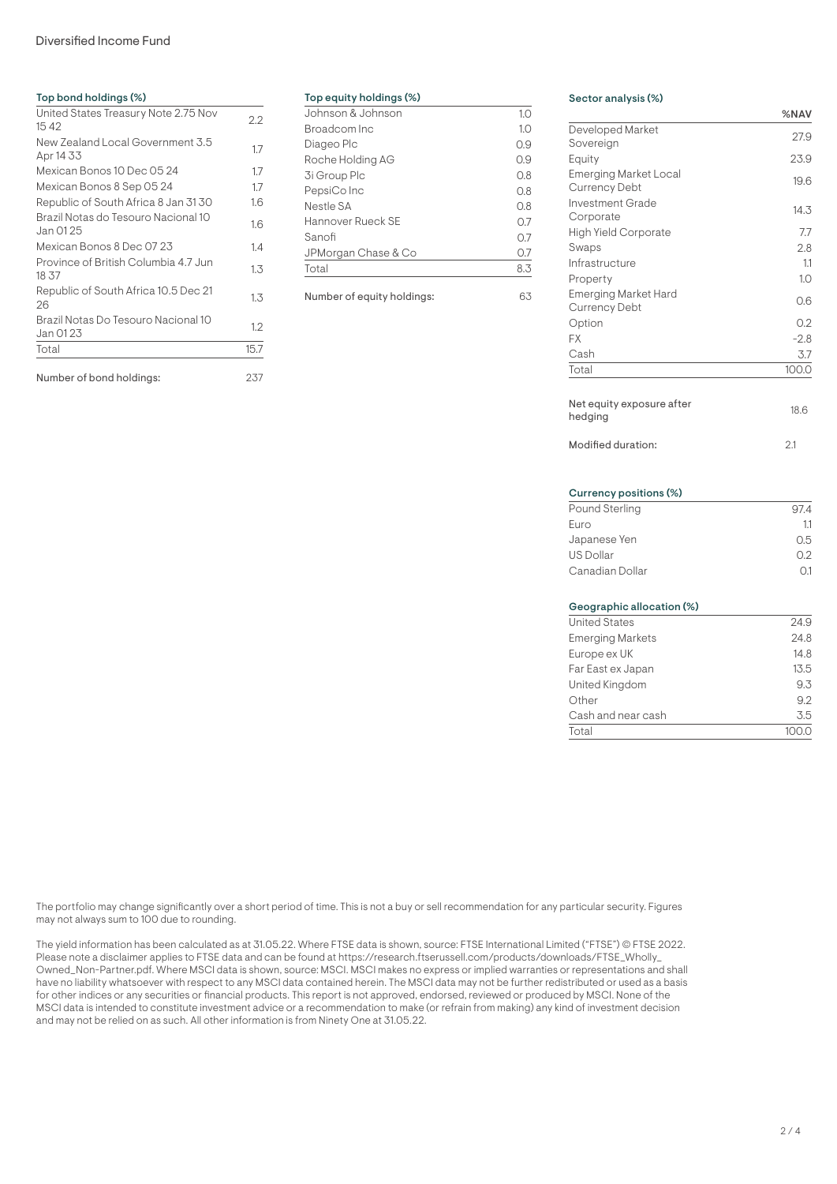# Diversified Income Fund

# Top bond holdings (%) United States Treasury Note 2.75 Nov 15 42 2.2 New Zealand Local Government 3.5 New Zealand Local Government 5.5<br>Apr 14 33 Mexican Bonos 10 Dec 05 24 1.7 Mexican Bonos 8 Sep 05 24 1.7 Republic of South Africa 8 Jan 3130 1.6 Brazil Notas do Tesouro Nacional 10 Brazil Notas do Tesouro Nacional IO<br>Jan 0125 Mexican Bonos 8 Dec 07 23 1.4 Province of British Columbia 4.7 Jun 1.3 18 37 Republic of South Africa 10.5 Dec 21 <sub>1.3</sub><br>26 1.3 Brazil Notas Do Tesouro Nacional 10 Brazil Notas Do Tesouro Nacional To 1.2<br>Jan 01 23 Total 15.7

Number of bond holdings: 237

### Top equity holdings (%)

| Johnson & Johnson   | 1.0 |
|---------------------|-----|
| Broadcom Inc        | 1.0 |
| Diageo Plc          | 0.9 |
| Roche Holding AG    | 0.9 |
| 3i Group Plc        | 0.8 |
| PepsiCo Inc         | 0.8 |
| Nestle SA           | 0.8 |
| Hannover Rueck SE   | 0.7 |
| Sanofi              | 0.7 |
| JPMorgan Chase & Co | 0.7 |
| Total               | 8.3 |
|                     |     |

Number of equity holdings: 63

# Sector analysis (%)

| Developed Market<br>Sovereign                        | 27.9   |
|------------------------------------------------------|--------|
| Equity                                               | 23.9   |
| <b>Emerging Market Local</b><br><b>Currency Debt</b> | 19.6   |
| Investment Grade<br>Corporate                        | 14.3   |
| <b>High Yield Corporate</b>                          | 7.7    |
| Swaps                                                | 2.8    |
| Infrastructure                                       | 1.1    |
| Property                                             | 1.0    |
| <b>Emerging Market Hard</b><br>Currency Debt         | 0.6    |
| Option                                               | 0.2    |
| <b>FX</b>                                            | $-2.8$ |
| Cash                                                 | 3.7    |
| Total                                                | 100.0  |
| Net equity exposure after<br>hedging                 | 18.6   |
| Modified duration:                                   | 2.1    |
| Currency positions (%)                               |        |
| <b>Pound Sterling</b>                                | 97.4   |
| Euro                                                 | 1.1    |
| Japanese Yen                                         | 0.5    |
| <b>US Dollar</b>                                     | 0.2    |
| Canadian Dollar                                      | O.1    |
| Geographic allocation (%)                            |        |
| <b>United States</b>                                 | 24.9   |
| <b>Emerging Markets</b>                              | 24.8   |
| Europe ex UK                                         | 14.8   |
| Far East ex Japan                                    | 13.5   |
| United Kingdom                                       | 9.3    |

Other 9.2 Cash and near cash 3.5 Total 100.0

%NAV

The portfolio may change significantly over a short period of time. This is not a buy or sell recommendation for any particular security. Figures may not always sum to 100 due to rounding.

The yield information has been calculated as at 31.05.22. Where FTSE data is shown, source: FTSE International Limited ("FTSE") © FTSE 2022. Please note a disclaimer applies to FTSE data and can be found at https://research.ftserussell.com/products/downloads/FTSE\_Wholly\_ Owned\_Non-Partner.pdf. Where MSCI data is shown, source: MSCI. MSCI makes no express or implied warranties or representations and shall have no liability whatsoever with respect to any MSCI data contained herein. The MSCI data may not be further redistributed or used as a basis for other indices or any securities or financial products. This report is not approved, endorsed, reviewed or produced by MSCI. None of the MSCI data is intended to constitute investment advice or a recommendation to make (or refrain from making) any kind of investment decision and may not be relied on as such. All other information is from Ninety One at 31.05.22.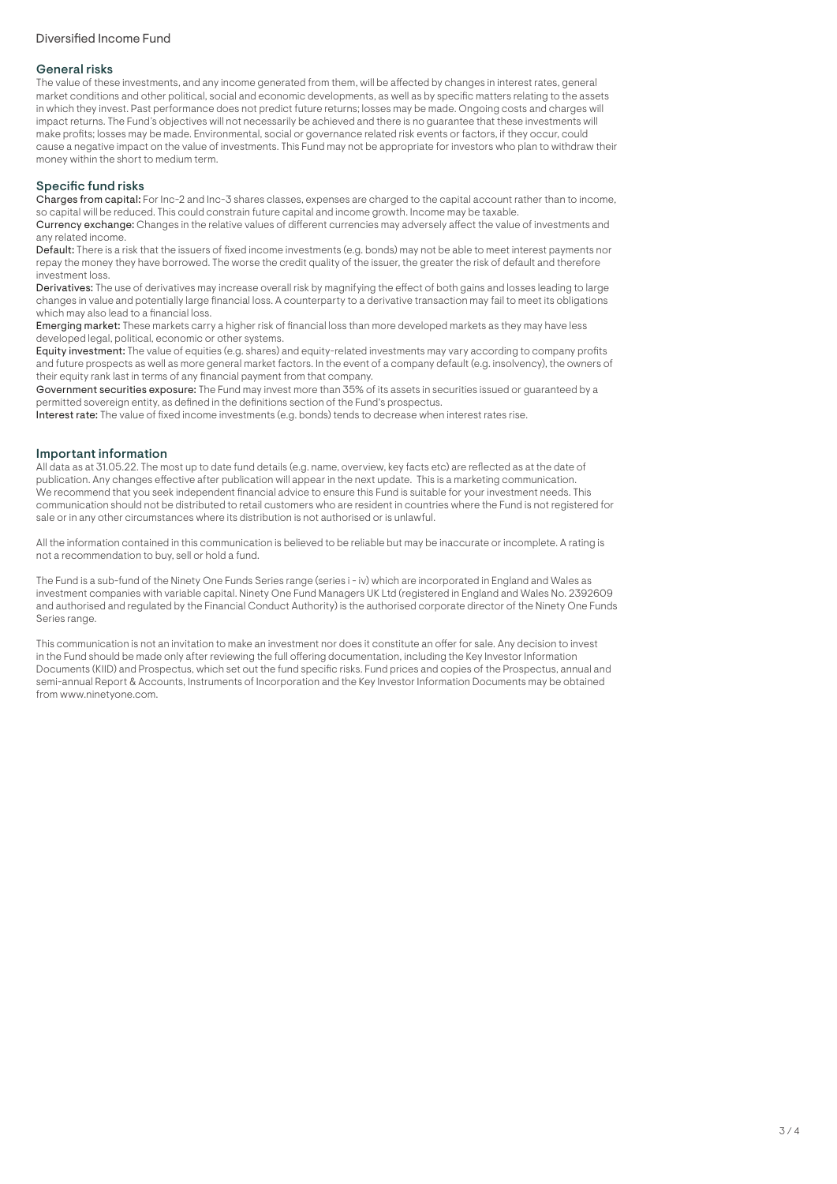# General risks

The value of these investments, and any income generated from them, will be affected by changes in interest rates, general market conditions and other political, social and economic developments, as well as by specific matters relating to the assets in which they invest. Past performance does not predict future returns; losses may be made. Ongoing costs and charges will impact returns. The Fund's objectives will not necessarily be achieved and there is no guarantee that these investments will make profits; losses may be made. Environmental, social or governance related risk events or factors, if they occur, could cause a negative impact on the value of investments. This Fund may not be appropriate for investors who plan to withdraw their money within the short to medium term.

# Specific fund risks

Charges from capital: For Inc-2 and Inc-3 shares classes, expenses are charged to the capital account rather than to income, so capital will be reduced. This could constrain future capital and income growth. Income may be taxable.

Currency exchange: Changes in the relative values of different currencies may adversely affect the value of investments and any related income.

Default: There is a risk that the issuers of fixed income investments (e.g. bonds) may not be able to meet interest payments nor repay the money they have borrowed. The worse the credit quality of the issuer, the greater the risk of default and therefore investment loss.

Derivatives: The use of derivatives may increase overall risk by magnifying the effect of both gains and losses leading to large changes in value and potentially large financial loss. A counterparty to a derivative transaction may fail to meet its obligations which may also lead to a financial loss.

Emerging market: These markets carry a higher risk of financial loss than more developed markets as they may have less developed legal, political, economic or other systems.

Equity investment: The value of equities (e.g. shares) and equity-related investments may vary according to company profits and future prospects as well as more general market factors. In the event of a company default (e.g. insolvency), the owners of their equity rank last in terms of any financial payment from that company.

Government securities exposure: The Fund may invest more than 35% of its assets in securities issued or guaranteed by a permitted sovereign entity, as defined in the definitions section of the Fund's prospectus.

Interest rate: The value of fixed income investments (e.g. bonds) tends to decrease when interest rates rise.

# Important information

All data as at 31.05.22. The most up to date fund details (e.g. name, overview, key facts etc) are reflected as at the date of publication. Any changes effective after publication will appear in the next update. This is a marketing communication. We recommend that you seek independent financial advice to ensure this Fund is suitable for your investment needs. This communication should not be distributed to retail customers who are resident in countries where the Fund is not registered for sale or in any other circumstances where its distribution is not authorised or is unlawful.

All the information contained in this communication is believed to be reliable but may be inaccurate or incomplete. A rating is not a recommendation to buy, sell or hold a fund.

The Fund is a sub-fund of the Ninety One Funds Series range (series i - iv) which are incorporated in England and Wales as investment companies with variable capital. Ninety One Fund Managers UK Ltd (registered in England and Wales No. 2392609 and authorised and regulated by the Financial Conduct Authority) is the authorised corporate director of the Ninety One Funds Series range.

This communication is not an invitation to make an investment nor does it constitute an offer for sale. Any decision to invest in the Fund should be made only after reviewing the full offering documentation, including the Key Investor Information Documents (KIID) and Prospectus, which set out the fund specific risks. Fund prices and copies of the Prospectus, annual and semi-annual Report & Accounts, Instruments of Incorporation and the Key Investor Information Documents may be obtained from www.ninetyone.com.